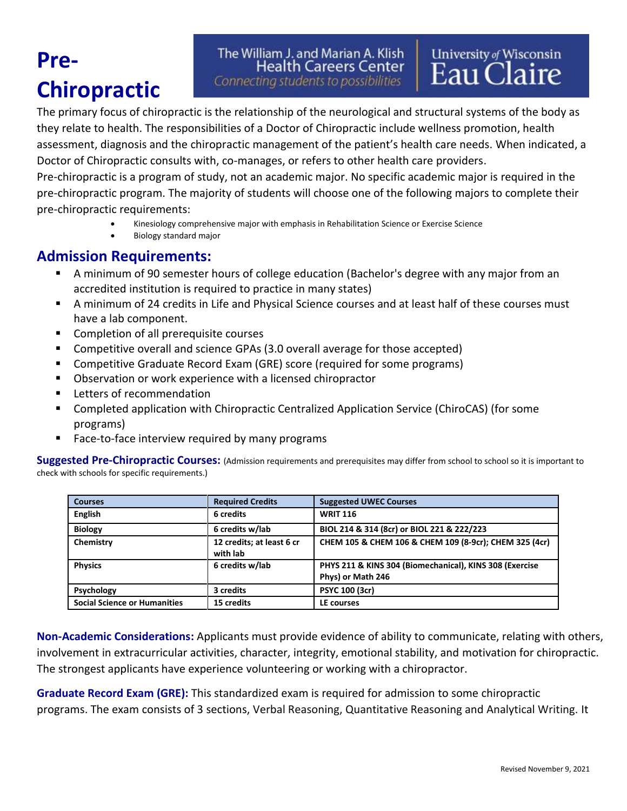## **Pre-Chiropractic**

#### The William J. and Marian A. Klish **Health Careers Center** Connecting students to possibilities

# University of Wisconsin<br>Eau Claire

The primary focus of chiropractic is the relationship of the neurological and structural systems of the body as they relate to health. The responsibilities of a Doctor of Chiropractic include wellness promotion, health assessment, diagnosis and the chiropractic management of the patient's health care needs. When indicated, a Doctor of Chiropractic consults with, co-manages, or refers to other health care providers.

Pre-chiropractic is a program of study, not an academic major. No specific academic major is required in the pre-chiropractic program. The majority of students will choose one of the following majors to complete their pre-chiropractic requirements:

- Kinesiology comprehensive major with emphasis in Rehabilitation Science or Exercise Science
- Biology standard major

#### **Admission Requirements:**

- A minimum of 90 semester hours of college education (Bachelor's degree with any major from an accredited institution is required to practice in many states)
- A minimum of 24 credits in Life and Physical Science courses and at least half of these courses must have a lab component.
- Completion of all prerequisite courses
- Competitive overall and science GPAs (3.0 overall average for those accepted)
- Competitive Graduate Record Exam (GRE) score (required for some programs)
- Observation or work experience with a licensed chiropractor
- Letters of recommendation
- Completed application with Chiropractic Centralized Application Service (ChiroCAS) (for some programs)
- Face-to-face interview required by many programs

**Suggested Pre-Chiropractic Courses:** (Admission requirements and prerequisites may differ from school to school so it is important to check with schools for specific requirements.)

| <b>Courses</b>                      | <b>Required Credits</b>               | <b>Suggested UWEC Courses</b>                                                |
|-------------------------------------|---------------------------------------|------------------------------------------------------------------------------|
| <b>English</b>                      | 6 credits                             | <b>WRIT 116</b>                                                              |
| <b>Biology</b>                      | 6 credits w/lab                       | BIOL 214 & 314 (8cr) or BIOL 221 & 222/223                                   |
| Chemistry                           | 12 credits; at least 6 cr<br>with lab | CHEM 105 & CHEM 106 & CHEM 109 (8-9cr); CHEM 325 (4cr)                       |
| <b>Physics</b>                      | 6 credits w/lab                       | PHYS 211 & KINS 304 (Biomechanical), KINS 308 (Exercise<br>Phys) or Math 246 |
| Psychology                          | 3 credits                             | <b>PSYC 100 (3cr)</b>                                                        |
| <b>Social Science or Humanities</b> | 15 credits                            | LE courses                                                                   |

**Non-Academic Considerations:** Applicants must provide evidence of ability to communicate, relating with others, involvement in extracurricular activities, character, integrity, emotional stability, and motivation for chiropractic. The strongest applicants have experience volunteering or working with a chiropractor.

**Graduate Record Exam (GRE):** This standardized exam is required for admission to some chiropractic programs. The exam consists of 3 sections, Verbal Reasoning, Quantitative Reasoning and Analytical Writing. It